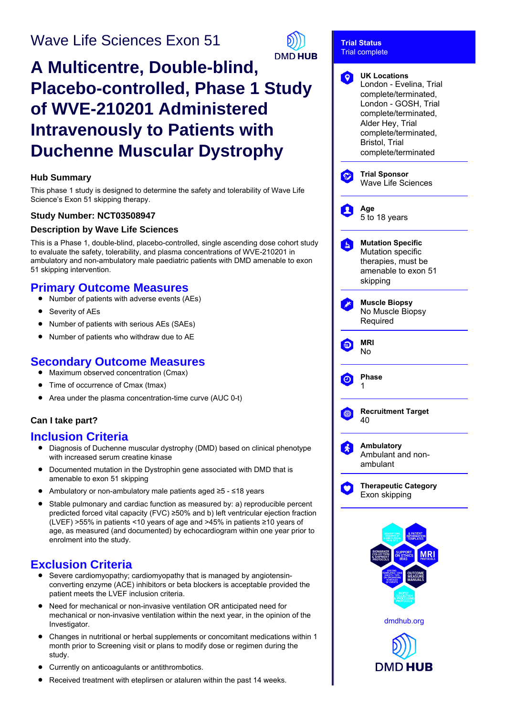## Wave Life Sciences Exon 51



**Trial Status**

# **A Multicentre, Double-blind, Placebo-controlled, Phase 1 Study of WVE-210201 Administered Intravenously to Patients with Duchenne Muscular Dystrophy**

#### **Hub Summary**

This phase 1 study is designed to determine the safety and tolerability of Wave Life Science's Exon 51 skipping therapy.

#### **Study Number: NCT03508947**

#### **Description by Wave Life Sciences**

This is a Phase 1, double-blind, placebo-controlled, single ascending dose cohort study to evaluate the safety, tolerability, and plasma concentrations of WVE-210201 in ambulatory and non-ambulatory male paediatric patients with DMD amenable to exon 51 skipping intervention.

## **Primary Outcome Measures**

- Number of patients with adverse events (AEs)
- Severity of AEs
- Number of patients with serious AEs (SAEs)  $\bullet$
- Number of patients who withdraw due to AE

## **Secondary Outcome Measures**

- $\bullet$ Maximum observed concentration (Cmax)
- Time of occurrence of Cmax (tmax)
- Area under the plasma concentration-time curve (AUC 0-t)

#### **Can I take part?**

### **Inclusion Criteria**

- Diagnosis of Duchenne muscular dystrophy (DMD) based on clinical phenotype with increased serum creatine kinase
- $\bullet$ Documented mutation in the Dystrophin gene associated with DMD that is amenable to exon 51 skipping
- Ambulatory or non-ambulatory male patients aged ≥5 ≤18 years  $\bullet$
- Stable pulmonary and cardiac function as measured by: a) reproducible percent predicted forced vital capacity (FVC) ≥50% and b) left ventricular ejection fraction (LVEF) >55% in patients <10 years of age and >45% in patients ≥10 years of age, as measured (and documented) by echocardiogram within one year prior to enrolment into the study.

## **Exclusion Criteria**

- Severe cardiomyopathy; cardiomyopathy that is managed by angiotensinconverting enzyme (ACE) inhibitors or beta blockers is acceptable provided the patient meets the LVEF inclusion criteria.
- Need for mechanical or non-invasive ventilation OR anticipated need for mechanical or non-invasive ventilation within the next year, in the opinion of the Investigator.
- Changes in nutritional or herbal supplements or concomitant medications within 1  $\bullet$ month prior to Screening visit or plans to modify dose or regimen during the study.
- Currently on anticoagulants or antithrombotics.
- Received treatment with eteplirsen or ataluren within the past 14 weeks.

|         | <b>Trial complete</b>                                                                                                                                                                                              |
|---------|--------------------------------------------------------------------------------------------------------------------------------------------------------------------------------------------------------------------|
|         | <b>UK Locations</b><br>London - Evelina, Trial<br>complete/terminated,<br>London - GOSH, Trial<br>complete/terminated,<br>Alder Hey, Trial<br>complete/terminated,<br><b>Bristol, Trial</b><br>complete/terminated |
|         | <b>Trial Sponsor</b><br><b>Wave Life Sciences</b>                                                                                                                                                                  |
|         | Age<br>5 to 18 years                                                                                                                                                                                               |
| ь       | <b>Mutation Specific</b><br>Mutation specific<br>therapies, must be<br>amenable to exon 51<br>skipping                                                                                                             |
|         | <b>Muscle Biopsy</b><br>No Muscle Biopsy<br>Required                                                                                                                                                               |
|         | MRI<br>No                                                                                                                                                                                                          |
| Θ       | Phase<br>1                                                                                                                                                                                                         |
| $\circ$ | <b>Recruitment Target</b><br>40                                                                                                                                                                                    |
|         | <b>Ambulatory</b><br>Ambulant and non-<br>ambulant                                                                                                                                                                 |
|         | <b>Therapeutic Category</b><br>Exon skipping                                                                                                                                                                       |
|         | dmdhub.org<br>DMI<br>J                                                                                                                                                                                             |